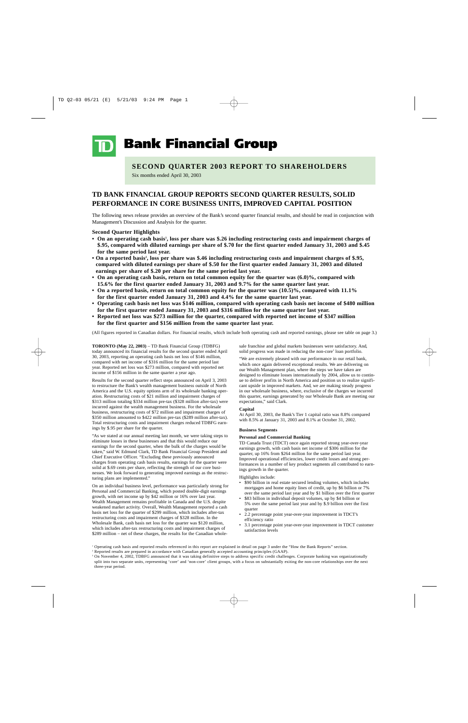**Bank Financial Group** 

# **SECOND QUARTER 2003 REPORT TO SHAREHOLDERS**

Six months ended April 30, 2003

# **TD BANK FINANCIAL GROUP REPORTS SECOND QUARTER RESULTS, SOLID PERFORMANCE IN CORE BUSINESS UNITS, IMPROVED CAPITAL POSITION**

The following news release provides an overview of the Bank's second quarter financial results, and should be read in conjunction with Management's Discussion and Analysis for the quarter.

### **Second Quarter Highlights**

- On an operating cash basis<sup>1</sup>, loss per share was \$.26 including restructuring costs and impairment charges of **\$.95, compared with diluted earnings per share of \$.70 for the first quarter ended January 31, 2003 and \$.45 for the same period last year.**
- **On a reported basis2 , loss per share was \$.46 including restructuring costs and impairment charges of \$.95, compared with diluted earnings per share of \$.50 for the first quarter ended January 31, 2003 and diluted earnings per share of \$.20 per share for the same period last year.**
- **On an operating cash basis, return on total common equity for the quarter was (6.0)%, compared with 15.6% for the first quarter ended January 31, 2003 and 9.7% for the same quarter last year.**
- **On a reported basis, return on total common equity for the quarter was (10.5)%, compared with 11.1% for the first quarter ended January 31, 2003 and 4.4% for the same quarter last year.**
- **Operating cash basis net loss was \$146 million, compared with operating cash basis net income of \$480 million for the first quarter ended January 31, 2003 and \$316 million for the same quarter last year.**
- **Reported net loss was \$273 million for the quarter, compared with reported net income of \$347 million for the first quarter and \$156 million from the same quarter last year.**

(All figures reported in Canadian dollars. For financial results, which include both operating cash and reported earnings, please see table on page 3.)

**TORONTO (May 22, 2003)** – TD Bank Financial Group (TDBFG) today announced its financial results for the second quarter ended April 30, 2003, reporting an operating cash basis net loss of \$146 million, compared with net income of \$316 million for the same period last year. Reported net loss was \$273 million, compared with reported net income of \$156 million in the same quarter a year ago.

Results for the second quarter reflect steps announced on April 3, 2003 to restructure the Bank's wealth management business outside of North America and the U.S. equity options arm of its wholesale banking operation. Restructuring costs of \$21 million and impairment charges of \$313 million totaling \$334 million pre-tax (\$328 million after-tax) were incurred against the wealth management business. For the wholesale business, restructuring costs of \$72 million and impairment charges of \$350 million amounted to \$422 million pre-tax (\$289 million after-tax). Total restructuring costs and impairment charges reduced TDBFG earnings by \$.95 per share for the quarter.

"As we stated at our annual meeting last month, we were taking steps to eliminate losses in these businesses and that this would reduce our earnings for the second quarter, when the bulk of the charges would be taken," said W. Edmund Clark, TD Bank Financial Group President and Chief Executive Officer. "Excluding these previously announced charges from operating cash basis results, earnings for the quarter were solid at \$.69 cents per share, reflecting the strength of our core businesses. We look forward to generating improved earnings as the restructuring plans are implemented."

On an individual business level, performance was particularly strong for Personal and Commercial Banking, which posted double-digit earnings growth, with net income up by \$42 million or 16% over last year. Wealth Management remains profitable in Canada and the U.S. despite weakened market activity. Overall, Wealth Management reported a cash basis net loss for the quarter of \$299 million, which includes after-tax restructuring costs and impairment charges of \$328 million. In the Wholesale Bank, cash basis net loss for the quarter was \$120 million, which includes after-tax restructuring costs and impairment charges of \$289 million – net of these charges, the results for the Canadian wholesale franchise and global markets businesses were satisfactory. And, solid progress was made in reducing the non-core<sup>3</sup> loan portfolio.

"We are extremely pleased with our performance in our retail bank, which once again delivered exceptional results. We are delivering on our Wealth Management plan, where the steps we have taken are designed to eliminate losses internationally by 2004, allow us to continue to deliver profits in North America and position us to realize significant upside in improved markets. And, we are making steady progress in our wholesale business, where, exclusive of the charges we incurred this quarter, earnings generated by our Wholesale Bank are meeting our expectations," said Clark.

### **Capital**

At April 30, 2003, the Bank's Tier 1 capital ratio was 8.8% compared with 8.5% at January 31, 2003 and 8.1% at October 31, 2002.

### **Business Segments**

### **Personal and Commercial Banking**

TD Canada Trust (TDCT) once again reported strong year-over-year earnings growth, with cash basis net income of \$306 million for the quarter, up 16% from \$264 million for the same period last year. Improved operational efficiencies, lower credit losses and strong performances in a number of key product segments all contributed to earnings growth in the quarter.

Highlights include:

- \$90 billion in real estate secured lending volumes, which includes mortgages and home equity lines of credit, up by \$6 billion or 7% over the same period last year and by \$1 billion over the first quarter
- \$83 billion in individual deposit volumes, up by \$4 billion or 5% over the same period last year and by \$.9 billion over the first quarter
- 2.2 percentage point year-over-year improvement in TDCT's efficiency ratio
- 3.1 percentage point year-over-year improvement in TDCT customer satisfaction levels

<sup>1</sup> Operating cash basis and reported results referenced in this report are explained in detail on page 3 under the "How the Bank Reports" section.

<sup>&</sup>lt;sup>2</sup> Reported results are prepared in accordance with Canadian generally accepted accounting principles (GAAP).

<sup>&</sup>lt;sup>3</sup> On November 4, 2002, TDBFG announced that it was taking definitive steps to address specific credit challenges. Corporate banking was organizationally split into two separate units, representing 'core' and 'non-core' client groups, with a focus on substantially exiting the non-core relationships over the next three-year period.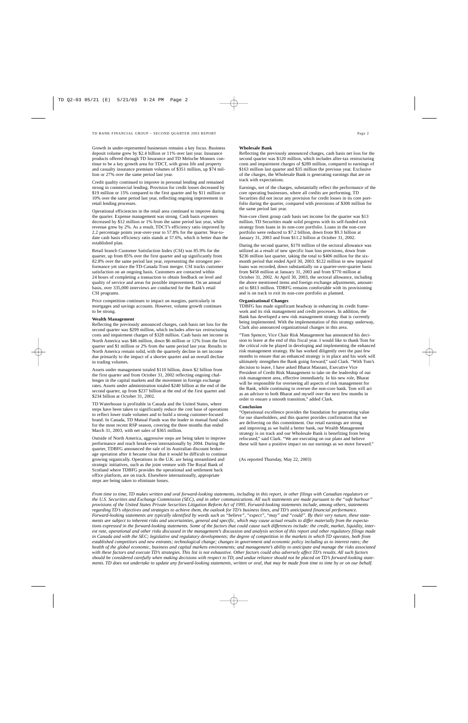Growth in under-represented businesses remains a key focus. Business deposit volume grew by \$2.4 billion or 11% over last year. Insurance products offered through TD Insurance and TD Meloche Monnex continue to be a key growth area for TDCT, with gross life and property and casualty insurance premium volumes of \$351 million, up \$74 million or 27% over the same period last year.

Credit quality continued to improve in personal lending and remained strong in commercial lending. Provision for credit losses decreased by \$19 million or 15% compared to the first quarter and by \$11 million or 10% over the same period last year, reflecting ongoing improvement in retail lending processes.

Operational efficiencies in the retail area continued to improve during the quarter. Expense management was strong. Cash basis expenses decreased by \$12 million or 1% from the same period last year, while revenue grew by 2%. As a result, TDCT's efficiency ratio improved by 2.2 percentage points year-over-year to 57.8% for the quarter. Year-todate cash basis efficiency ratio stands at 57.6%, which is better than the established plan.

Retail branch Customer Satisfaction Index (CSI) was 85.9% for the quarter, up from 85% over the first quarter and up significantly from 82.8% over the same period last year, representing the strongest performance yet since the TD-Canada Trust merger. CSI tracks customer satisfaction on an ongoing basis. Customers are contacted within 24 hours of completing a transaction to obtain feedback on level and quality of service and areas for possible improvement. On an annual basis, over 335,000 interviews are conducted for the Bank's retail CSI programs.

Price competition continues to impact on margins, particularly in mortgages and savings accounts. However, volume growth continues to be strong.

#### **Wealth Management**

Reflecting the previously announced charges, cash basis net loss for the second quarter was \$299 million, which includes after-tax restructuring costs and impairment charges of \$328 million. Cash basis net income in North America was \$46 million, down \$6 million or 12% from the first quarter and \$1 million or 2% from the same period last year. Results in North America remain solid, with the quarterly decline in net income due primarily to the impact of a shorter quarter and an overall decline in trading volumes.

Assets under management totaled \$110 billion, down \$2 billion from the first quarter and from October 31, 2002 reflecting ongoing challenges in the capital markets and the movement in foreign exchange rates. Assets under administration totaled \$240 billion at the end of the second quarter, up from \$237 billion at the end of the first quarter and \$234 billion at October 31, 2002.

TD Waterhouse is profitable in Canada and the United States, where steps have been taken to significantly reduce the cost base of operations to reflect lower trade volumes and to build a strong customer-focused brand. In Canada, TD Mutual Funds was the leader in mutual fund sales for the most recent RSP season, covering the three months that ended March 31, 2003, with net sales of \$365 million.

Outside of North America, aggressive steps are being taken to improve performance and reach break-even internationally by 2004. During the quarter, TDBFG announced the sale of its Australian discount brokerage operation after it became clear that it would be difficult to continue growing organically. Operations in the U.K. are being streamlined and strategic initiatives, such as the joint venture with The Royal Bank of Scotland where TDBFG provides the operational and settlement back office platform, are on track. Elsewhere internationally, appropriate steps are being taken to eliminate losses.

### **Wholesale Bank**

Reflecting the previously announced charges, cash basis net loss for the second quarter was \$120 million, which includes after-tax restructuring costs and impairment charges of \$289 million, compared to earnings of \$163 million last quarter and \$35 million the previous year. Exclusive of the charges, the Wholesale Bank is generating earnings that are on track with expectations.

Earnings, net of the charges, substantially reflect the performance of the core operating businesses, where all credits are performing. TD Securities did not incur any provision for credit losses in its core portfolio during the quarter, compared with provisions of \$300 million for the same period last year.

Non-core client group cash basis net income for the quarter was \$13 million. TD Securities made solid progress with its self-funded exit strategy from loans in its non-core portfolio. Loans in the non-core portfolio were reduced to \$7.2 billion, down from \$9.3 billion at January 31, 2003 and from \$11.2 billion at October 31, 2002.

During the second quarter, \$170 million of the sectoral allowance was utilized as a result of new specific loan loss provisions, down from \$236 million last quarter, taking the total to \$406 million for the sixmonth period that ended April 30, 2003. \$122 million in new impaired loans was recorded, down substantially on a quarter-over-quarter basis from \$458 million at January 31, 2003 and from \$770 million at October 31, 2002. At April 30, 2003, the sectoral allowance, including the above mentioned items and foreign exchange adjustments, amounted to \$813 million. TDBFG remains comfortable with its provisioning and is on track to exit its non-core portfolio as planned.

### **Organizational Changes**

TDBFG has made significant headway in enhancing its credit framework and its risk management and credit processes. In addition, the Bank has developed a new risk management strategy that is currently being implemented. With the implementation of this strategy underway, Clark also announced organizational changes in this area.

"Tom Spencer, Vice Chair Risk Management has announced his decision to leave at the end of this fiscal year. I would like to thank Tom for the critical role he played in developing and implementing the enhanced risk management strategy. He has worked diligently over the past few months to ensure that an enhanced strategy is in place and his work will ultimately strengthen the Bank going forward," said Clark. "With Tom's decision to leave, I have asked Bharat Masrani, Executive Vice President of Credit Risk Management to take on the leadership of our risk management area, effective immediately. In his new role, Bharat will be responsible for overseeing all aspects of risk management for the Bank, while continuing to oversee the non-core bank. Tom will act as an advisor to both Bharat and myself over the next few months in order to ensure a smooth transition," added Clark.

### **Conclusion**

"Operational excellence provides the foundation for generating value for our shareholders, and this quarter provides confirmation that we are delivering on this commitment. Our retail earnings are strong and improving as we build a better bank, our Wealth Management strategy is on track and our Wholesale Bank is benefiting from being refocused," said Clark. "We are executing on our plans and believe these will have a positive impact on our earnings as we move forward."

(As reported Thursday, May 22, 2003)

*From time to time, TD makes written and oral forward-looking statements, including in this report, in other filings with Canadian regulators or the U.S. Securities and Exchange Commission (SEC), and in other communications. All such statements are made pursuant to the "safe harbour" provisions of the United States Private Securities Litigation Reform Act of 1995. Forward-looking statements include, among others, statements regarding TD's objectives and strategies to achieve them, the outlook for TD's business lines, and TD's anticipated financial performance. Forward-looking statements are typically identified by words such as "believe", "expect", "may" and "could". By their very nature, these statements are subject to inherent risks and uncertainties, general and specific, which may cause actual results to differ materially from the expectations expressed in the forward-looking statements. Some of the factors that could cause such differences include: the credit, market, liquidity, interest rate, operational and other risks discussed in the management's discussion and analysis section of this report and other regulatory filings made in Canada and with the SEC; legislative and regulatory developments; the degree of competition in the markets in which TD operates, both from established competitors and new entrants; technological change; changes in government and economic policy including as to interest rates; the health of the global economic, business and capital markets environments; and management's ability to anticipate and manage the risks associated with these factors and execute TD's strategies. This list is not exhaustive. Other factors could also adversely affect TD's results. All such factors should be considered carefully when making decisions with respect to TD, and undue reliance should not be placed on TD's forward-looking statements. TD does not undertake to update any forward-looking statements, written or oral, that may be made from time to time by or on our behalf.*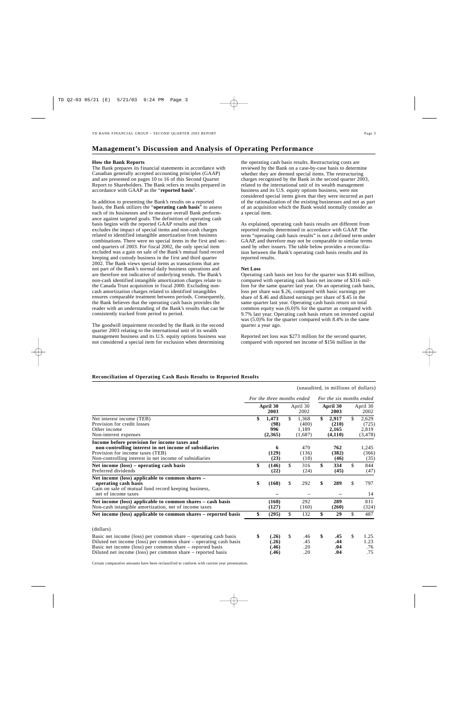# **Management's Discussion and Analysis of Operating Performance**

### **How the Bank Reports**

The Bank prepares its financial statements in accordance with Canadian generally accepted accounting principles (GAAP) and are presented on pages 10 to 16 of this Second Quarter Report to Shareholders. The Bank refers to results prepared in accordance with GAAP as the "**reported basis**".

In addition to presenting the Bank's results on a reported basis, the Bank utilizes the "**operating cash basis**" to assess each of its businesses and to measure overall Bank performance against targeted goals. The definition of operating cash basis begins with the reported GAAP results and then excludes the impact of special items and non-cash charges related to identified intangible amortization from business combinations. There were no special items in the first and second quarters of 2003. For fiscal 2002, the only special item excluded was a gain on sale of the Bank's mutual fund record keeping and custody business in the first and third quarter 2002. The Bank views special items as transactions that are not part of the Bank's normal daily business operations and are therefore not indicative of underlying trends. The Bank's non-cash identified intangible amortization charges relate to the Canada Trust acquisition in fiscal 2000. Excluding noncash amortization charges related to identified intangibles ensures comparable treatment between periods. Consequently, the Bank believes that the operating cash basis provides the reader with an understanding of the Bank's results that can be consistently tracked from period to period.

The goodwill impairment recorded by the Bank in the second quarter 2003 relating to the international unit of its wealth management business and its U.S. equity options business was not considered a special item for exclusion when determining

the operating cash basis results. Restructuring costs are reviewed by the Bank on a case-by-case basis to determine whether they are deemed special items. The restructuring charges recognized by the Bank in the second quarter 2003, related to the international unit of its wealth management business and its U.S. equity options business, were not considered special items given that they were incurred as part of the rationalization of the existing businesses and not as part of an acquisition which the Bank would normally consider as a special item.

As explained, operating cash basis results are different from reported results determined in accordance with GAAP. The term "operating cash basis results" is not a defined term under GAAP, and therefore may not be comparable to similar terms used by other issuers. The table below provides a reconciliation between the Bank's operating cash basis results and its reported results.

### **Net Loss**

Operating cash basis net loss for the quarter was \$146 million, compared with operating cash basis net income of \$316 million for the same quarter last year. On an operating cash basis, loss per share was \$.26, compared with basic earnings per share of \$.46 and diluted earnings per share of \$.45 in the same quarter last year. Operating cash basis return on total common equity was (6.0)% for the quarter as compared with 9.7% last year. Operating cash basis return on invested capital was (5.0)% for the quarter compared with 8.4% in the same quarter a year ago.

Reported net loss was \$273 million for the second quarter, compared with reported net income of \$156 million in the

(unaudited, in millions of dollars)

### **Reconciliation of Operating Cash Basis Results to Reported Results**

*For the three months ended For the six months ended* **April 30 April 30 April 30 April 30 April 30 2003 2002 2003** 2002 **2003** 2002 Net interest income (TEB) <br> **8 1,473** \$ 1,368 **\$ 2,917** \$ 2,629<br>
Provision for credit losses (98) (400) (210) (725) Provision for credit losses **(98)** (400) (210) (725)<br>Other income **996** 1,189 2,165 2,819 Other income **996** 1,189 **2,165** 2,819 Non-interest expenses **(2,365)** (1,687) **(4,110)** (3,478) **Income before provision for income taxes and non-controlling interest in net income of subsidiaries 6** 470 **762** 1,245 Provision for income taxes (TEB) (129) (136) (382) (366)<br>
Non-controlling interest in net income of subsidiaries (23) (18) (46) (35) Non-controlling interest in net income of subsidiaries **(23)** (18) **(46)** (35) **Net income (loss) – operating cash basis <br>
<b>S** (146) \$ 316 \$ 334 \$ 844<br>
Preferred dividends (22) (24) (45) (47) Preferred dividends **(22)** (24) **(45)** (47) **Net income (loss) applicable to common shares – operating cash basis \$ (168)** \$ 292 **\$ 289** \$ 797 Gain on sale of mutual fund record keeping business, net of income taxes **–** – **–** 14 **Net income (loss) applicable to common shares – cash basis (168) 292 289 811**<br>Non-cash intangible amortization, net of income taxes (127) (160) (260) (324) Non-cash intangible amortization, net of income taxes (127) **Net income (loss) applicable to common shares – reported basis \$ (295)** \$ 132 **\$ 29** \$ 487 (dollars) Basic net income (loss) per common share – operating cash basis **\$ (.26)** \$ .46 **\$ .45** \$ 1.25 Diluted net income (loss) per common share – operating cash basis **(also income absoluted net income (loss)** per common share – reported basis **(also income absoluted income (loss)** per common share – reported basis **(also** Basic net income (loss) per common share – reported basis **(.46)** .20 **.04** .76 Diluted net income (loss) per common share – reported basis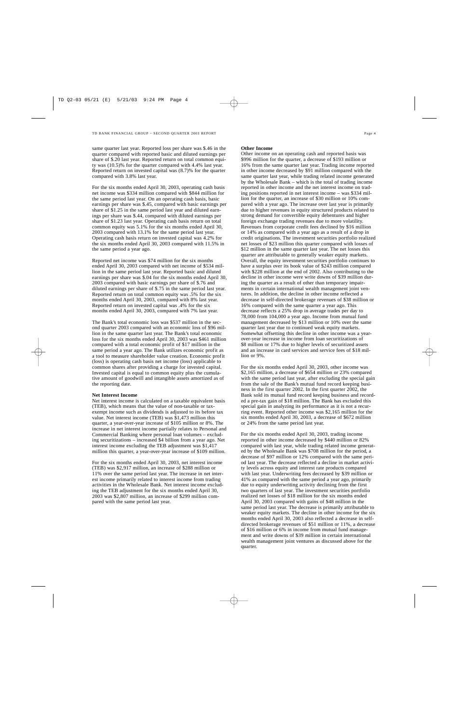same quarter last year. Reported loss per share was \$.46 in the quarter compared with reported basic and diluted earnings per share of \$.20 last year. Reported return on total common equity was (10.5)% for the quarter compared with 4.4% last year. Reported return on invested capital was (8.7)% for the quarter compared with 3.8% last year.

For the six months ended April 30, 2003, operating cash basis net income was \$334 million compared with \$844 million for the same period last year. On an operating cash basis, basic earnings per share was \$.45, compared with basic earnings per share of \$1.25 in the same period last year and diluted earnings per share was \$.44, compared with diluted earnings per share of \$1.23 last year. Operating cash basis return on total common equity was 5.1% for the six months ended April 30, 2003 compared with 13.1% for the same period last year. Operating cash basis return on invested capital was 4.2% for the six months ended April 30, 2003 compared with 11.5% in the same period a year ago.

Reported net income was \$74 million for the six months ended April 30, 2003 compared with net income of \$534 million in the same period last year. Reported basic and diluted earnings per share was \$.04 for the six months ended April 30, 2003 compared with basic earnings per share of \$.76 and diluted earnings per share of \$.75 in the same period last year. Reported return on total common equity was .5% for the six months ended April 30, 2003, compared with 8% last year. Reported return on invested capital was .4% for the six months ended April 30, 2003, compared with 7% last year.

The Bank's total economic loss was \$537 million in the second quarter 2003 compared with an economic loss of \$96 million in the same quarter last year. The Bank's total economic loss for the six months ended April 30, 2003 was \$461 million compared with a total economic profit of \$17 million in the same period a year ago. The Bank utilizes economic profit as a tool to measure shareholder value creation. Economic profit (loss) is operating cash basis net income (loss) applicable to common shares after providing a charge for invested capital. Invested capital is equal to common equity plus the cumulative amount of goodwill and intangible assets amortized as of the reporting date.

### **Net Interest Income**

Net interest income is calculated on a taxable equivalent basis (TEB), which means that the value of non-taxable or taxexempt income such as dividends is adjusted to its before tax value. Net interest income (TEB) was \$1,473 million this quarter, a year-over-year increase of \$105 million or 8%. The increase in net interest income partially relates to Personal and Commercial Banking where personal loan volumes – excluding securitizations – increased \$4 billion from a year ago. Net interest income excluding the TEB adjustment was \$1,417 million this quarter, a year-over-year increase of \$109 million.

For the six months ended April 30, 2003, net interest income (TEB) was \$2,917 million, an increase of \$288 million or 11% over the same period last year. The increase in net interest income primarily related to interest income from trading activities in the Wholesale Bank. Net interest income excluding the TEB adjustment for the six months ended April 30, 2003 was \$2,807 million, an increase of \$299 million compared with the same period last year.

### **Other Income**

Other income on an operating cash and reported basis was \$996 million for the quarter, a decrease of \$193 million or 16% from the same quarter last year. Trading income reported in other income decreased by \$91 million compared with the same quarter last year, while trading related income generated by the Wholesale Bank – which is the total of trading income reported in other income and the net interest income on trading positions reported in net interest income – was \$334 million for the quarter, an increase of \$30 million or 10% compared with a year ago. The increase over last year is primarily due to higher revenues in equity structured products related to strong demand for convertible equity debentures and higher foreign exchange trading revenues due to more volatility. Revenues from corporate credit fees declined by \$16 million or 14% as compared with a year ago as a result of a drop in credit originations. The investment securities portfolio realized net losses of \$23 million this quarter compared with losses of \$12 million in the same quarter last year. The net losses this quarter are attributable to generally weaker equity markets. Overall, the equity investment securities portfolio continues to have a surplus over its book value of \$243 million compared with \$228 million at the end of 2002. Also contributing to the decline in other income were write downs of \$39 million during the quarter as a result of other than temporary impairments in certain international wealth management joint ventures. In addition, the decline in other income reflected a decrease in self-directed brokerage revenues of \$38 million or 16% compared with the same quarter a year ago. This decrease reflects a 25% drop in average trades per day to 78,000 from 104,000 a year ago. Income from mutual fund management decreased by \$13 million or 10% over the same quarter last year due to continued weak equity markets. Somewhat offsetting this decline in other income was a yearover-year increase in income from loan securitizations of \$8 million or 17% due to higher levels of securitized assets and an increase in card services and service fees of \$18 million or 9%.

For the six months ended April 30, 2003, other income was \$2,165 million, a decrease of \$654 million or 23% compared with the same period last year, after excluding the special gain from the sale of the Bank's mutual fund record keeping business in the first quarter 2002. In the first quarter 2002, the Bank sold its mutual fund record keeping business and recorded a pre-tax gain of \$18 million. The Bank has excluded this special gain in analyzing its performance as it is not a recurring event. Reported other income was \$2,165 million for the six months ended April 30, 2003, a decrease of \$672 million or 24% from the same period last year.

For the six months ended April 30, 2003, trading income reported in other income decreased by \$440 million or 82% compared with last year, while trading related income generated by the Wholesale Bank was \$708 million for the period, a decrease of \$97 million or 12% compared with the same period last year. The decrease reflected a decline in market activity levels across equity and interest rate products compared with last year. Underwriting fees decreased by \$39 million or 41% as compared with the same period a year ago, primarily due to equity underwriting activity declining from the first two quarters of last year. The investment securities portfolio realized net losses of \$18 million for the six months ended April 30, 2003 compared with gains of \$48 million in the same period last year. The decrease is primarily attributable to weaker equity markets. The decline in other income for the six months ended April 30, 2003 also reflected a decrease in selfdirected brokerage revenues of \$51 million or 11%, a decrease of \$16 million or 6% in income from mutual fund management and write downs of \$39 million in certain international wealth management joint ventures as discussed above for the quarter.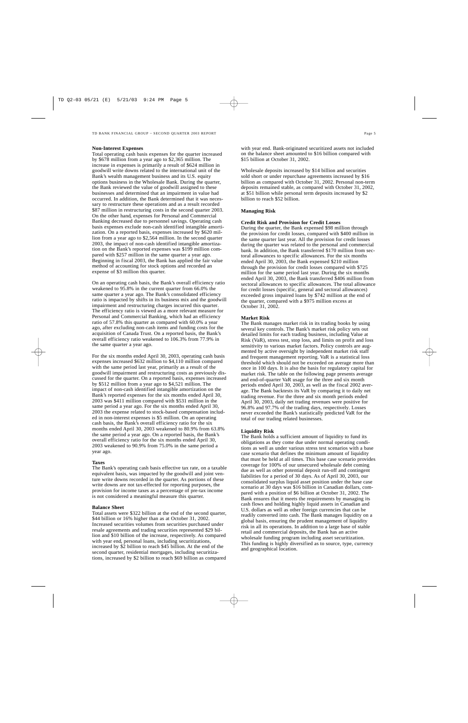### **Non-Interest Expenses**

Total operating cash basis expenses for the quarter increased by \$678 million from a year ago to \$2,365 million. The increase in expenses is primarily a result of \$624 million in goodwill write downs related to the international unit of the Bank's wealth management business and its U.S. equity options business in the Wholesale Bank. During the quarter, the Bank reviewed the value of goodwill assigned to these businesses and determined that an impairment in value had occurred. In addition, the Bank determined that it was necessary to restructure these operations and as a result recorded \$87 million in restructuring costs in the second quarter 2003. On the other hand, expenses for Personal and Commercial Banking decreased due to personnel savings. Operating cash basis expenses exclude non-cash identified intangible amortization. On a reported basis, expenses increased by \$620 million from a year ago to \$2,564 million. In the second quarter 2003, the impact of non-cash identified intangible amortization on the Bank's reported expenses was \$199 million compared with \$257 million in the same quarter a year ago. Beginning in fiscal 2003, the Bank has applied the fair value method of accounting for stock options and recorded an expense of \$3 million this quarter.

On an operating cash basis, the Bank's overall efficiency ratio weakened to 95.8% in the current quarter from 66.0% the same quarter a year ago. The Bank's consolidated efficiency ratio is impacted by shifts in its business mix and the goodwill impairment and restructuring charges incurred this quarter. The efficiency ratio is viewed as a more relevant measure for Personal and Commercial Banking, which had an efficiency ratio of 57.8% this quarter as compared with 60.0% a year ago, after excluding non-cash items and funding costs for the acquisition of Canada Trust. On a reported basis, the Bank's overall efficiency ratio weakened to 106.3% from 77.9% in the same quarter a year ago.

For the six months ended April 30, 2003, operating cash basis expenses increased \$632 million to \$4,110 million compared with the same period last year, primarily as a result of the goodwill impairment and restructuring costs as previously discussed for the quarter. On a reported basis, expenses increased by \$512 million from a year ago to \$4,521 million. The impact of non-cash identified intangible amortization on the Bank's reported expenses for the six months ended April 30, 2003 was \$411 million compared with \$531 million in the same period a year ago. For the six months ended April 30, 2003 the expense related to stock-based compensation included in non-interest expenses is \$5 million. On an operating cash basis, the Bank's overall efficiency ratio for the six months ended April 30, 2003 weakened to 80.9% from 63.8% the same period a year ago. On a reported basis, the Bank's overall efficiency ratio for the six months ended April 30, 2003 weakened to 90.9% from 75.0% in the same period a year ago.

### **Taxes**

The Bank's operating cash basis effective tax rate, on a taxable equivalent basis, was impacted by the goodwill and joint venture write downs recorded in the quarter. As portions of these write downs are not tax-effected for reporting purposes, the provision for income taxes as a percentage of pre-tax income is not considered a meaningful measure this quarter.

### **Balance Sheet**

Total assets were \$322 billion at the end of the second quarter, \$44 billion or 16% higher than as at October 31, 2002. Increased securities volumes from securities purchased under resale agreements and trading securities represented \$29 billion and \$10 billion of the increase, respectively. As compared with year end, personal loans, including securitizations, increased by \$2 billion to reach \$45 billion. At the end of the second quarter, residential mortgages, including securitizations, increased by \$2 billion to reach \$69 billion as compared

with year end. Bank-originated securitized assets not included on the balance sheet amounted to \$16 billion compared with \$15 billion at October 31, 2002.

Wholesale deposits increased by \$14 billion and securities sold short or under repurchase agreements increased by \$16 billion as compared with October 31, 2002. Personal non-term deposits remained stable, as compared with October 31, 2002, at \$51 billion while personal term deposits increased by \$2 billion to reach \$52 billion.

### **Managing Risk**

### **Credit Risk and Provision for Credit Losses**

During the quarter, the Bank expensed \$98 million through the provision for credit losses, compared with \$400 million in the same quarter last year. All the provision for credit losses during the quarter was related to the personal and commercial bank. In addition, the Bank transferred \$170 million from sectoral allowances to specific allowances. For the six months ended April 30, 2003, the Bank expensed \$210 million through the provision for credit losses compared with \$725 million for the same period last year. During the six months ended April 30, 2003, the Bank transferred \$406 million from sectoral allowances to specific allowances. The total allowance for credit losses (specific, general and sectoral allowances) exceeded gross impaired loans by \$742 million at the end of the quarter, compared with a \$975 million excess at October 31, 2002.

### **Market Risk**

The Bank manages market risk in its trading books by using several key controls. The Bank's market risk policy sets out detailed limits for each trading business, including Value at Risk (VaR), stress test, stop loss, and limits on profit and loss sensitivity to various market factors. Policy controls are augmented by active oversight by independent market risk staff and frequent management reporting. VaR is a statistical loss threshold which should not be exceeded on average more than once in 100 days. It is also the basis for regulatory capital for market risk. The table on the following page presents average and end-of-quarter VaR usage for the three and six month periods ended April 30, 2003, as well as the fiscal 2002 average. The Bank backtests its VaR by comparing it to daily net trading revenue. For the three and six month periods ended April 30, 2003, daily net trading revenues were positive for 96.8% and 97.7% of the trading days, respectively. Losses never exceeded the Bank's statistically predicted VaR for the total of our trading related businesses.

### **Liquidity Risk**

The Bank holds a sufficient amount of liquidity to fund its obligations as they come due under normal operating conditions as well as under various stress test scenarios with a base case scenario that defines the minimum amount of liquidity that must be held at all times. This base case scenario provides coverage for 100% of our unsecured wholesale debt coming due as well as other potential deposit run-off and contingent liabilities for a period of 30 days. As of April 30, 2003, our consolidated surplus liquid asset position under the base case scenario at 30 days was \$16 billion in Canadian dollars, compared with a position of \$6 billion at October 31, 2002. The Bank ensures that it meets the requirements by managing its cash flows and holding highly liquid assets in Canadian and U.S. dollars as well as other foreign currencies that can be readily converted into cash. The Bank manages liquidity on a global basis, ensuring the prudent management of liquidity risk in all its operations. In addition to a large base of stable retail and commercial deposits, the Bank has an active wholesale funding program including asset securitization. This funding is highly diversified as to source, type, currency and geographical location.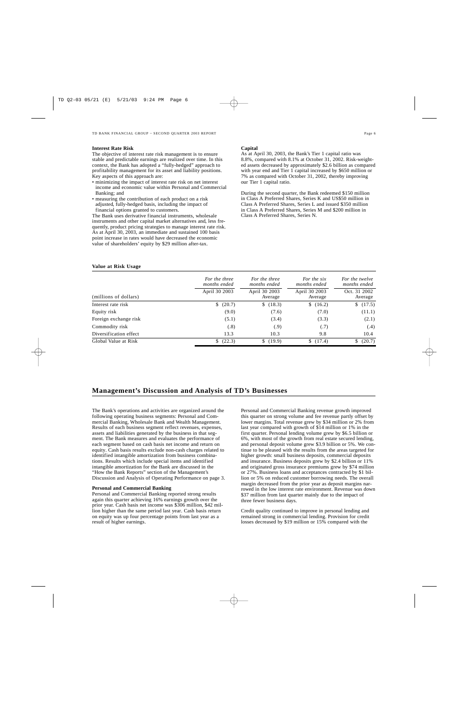### **Interest Rate Risk**

The objective of interest rate risk management is to ensure stable and predictable earnings are realized over time. In this context, the Bank has adopted a "fully-hedged" approach to profitability management for its asset and liability positions. Key aspects of this approach are:

- minimizing the impact of interest rate risk on net interest income and economic value within Personal and Commercial Banking; and
- measuring the contribution of each product on a risk adjusted, fully-hedged basis, including the impact of financial options granted to customers.

The Bank uses derivative financial instruments, wholesale instruments and other capital market alternatives and, less frequently, product pricing strategies to manage interest rate risk. As at April 30, 2003, an immediate and sustained 100 basis point increase in rates would have decreased the economic value of shareholders' equity by \$29 million after-tax.

### **Value at Risk Usage**

### **Capital**

As at April 30, 2003, the Bank's Tier 1 capital ratio was 8.8%, compared with 8.1% at October 31, 2002. Risk-weighted assets decreased by approximately \$2.6 billion as compared with year end and Tier 1 capital increased by \$650 million or 7% as compared with October 31, 2002, thereby improving our Tier 1 capital ratio.

During the second quarter, the Bank redeemed \$150 million in Class A Preferred Shares, Series K and US\$50 million in Class A Preferred Shares, Series L and issued \$350 million in Class A Preferred Shares, Series M and \$200 million in Class A Preferred Shares, Series N.

|                        | For the three<br>months ended | For the three<br>months ended | For the six<br>months ended | For the twelve<br>months ended |
|------------------------|-------------------------------|-------------------------------|-----------------------------|--------------------------------|
| (millions of dollars)  | April 30 2003                 | April 30 2003<br>Average      | April 30 2003<br>Average    | Oct. 31 2002<br>Average        |
| Interest rate risk     | (20.7)<br>S.                  | (18.3)<br>\$                  | (16.2)                      | \$(17.5)                       |
| Equity risk            | (9.0)                         | (7.6)                         | (7.0)                       | (11.1)                         |
| Foreign exchange risk  | (5.1)                         | (3.4)                         | (3.3)                       | (2.1)                          |
| Commodity risk         | (.8)                          | (.9)                          | (.7)                        | (.4)                           |
| Diversification effect | 13.3                          | 10.3                          | 9.8                         | 10.4                           |
| Global Value at Risk   | (22.3)                        | \$(19.9)                      | (17.4)                      | (20.7)<br>S.                   |

### **Management's Discussion and Analysis of TD's Businesses**

The Bank's operations and activities are organized around the following operating business segments: Personal and Commercial Banking, Wholesale Bank and Wealth Management. Results of each business segment reflect revenues, expenses, assets and liabilities generated by the business in that segment. The Bank measures and evaluates the performance of each segment based on cash basis net income and return on equity. Cash basis results exclude non-cash charges related to identified intangible amortization from business combinations. Results which include special items and identified intangible amortization for the Bank are discussed in the "How the Bank Reports" section of the Management's Discussion and Analysis of Operating Performance on page 3.

### **Personal and Commercial Banking**

Personal and Commercial Banking reported strong results again this quarter achieving 16% earnings growth over the prior year. Cash basis net income was \$306 million, \$42 million higher than the same period last year. Cash basis return on equity was up four percentage points from last year as a result of higher earnings.

Personal and Commercial Banking revenue growth improved this quarter on strong volume and fee revenue partly offset by lower margins. Total revenue grew by \$34 million or 2% from last year compared with growth of \$14 million or 1% in the first quarter. Personal lending volume grew by \$6.5 billion or 6%, with most of the growth from real estate secured lending, and personal deposit volume grew \$3.9 billion or 5%. We continue to be pleased with the results from the areas targeted for higher growth: small business deposits, commercial deposits and insurance. Business deposits grew by \$2.4 billion or 11% and originated gross insurance premiums grew by \$74 million or 27%. Business loans and acceptances contracted by \$1 billion or 5% on reduced customer borrowing needs. The overall margin decreased from the prior year as deposit margins narrowed in the low interest rate environment. Revenue was down \$37 million from last quarter mainly due to the impact of three fewer business days.

Credit quality continued to improve in personal lending and remained strong in commercial lending. Provision for credit losses decreased by \$19 million or 15% compared with the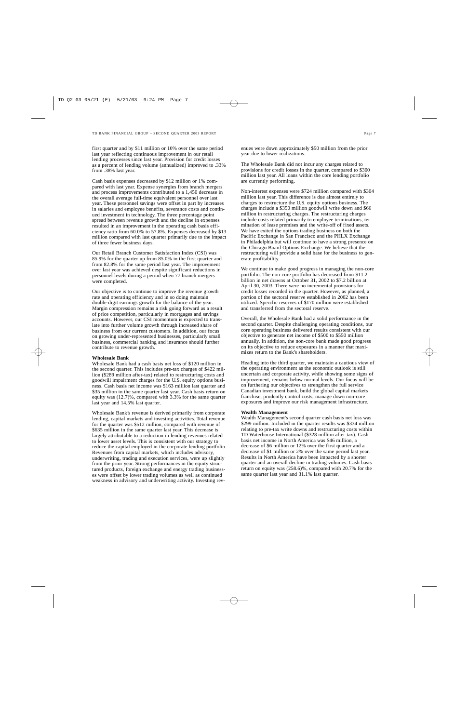first quarter and by \$11 million or 10% over the same period last year reflecting continuous improvement in our retail lending processes since last year. Provision for credit losses as a percent of lending volume (annualized) improved to .33% from .38% last year.

Cash basis expenses decreased by \$12 million or 1% compared with last year. Expense synergies from branch mergers and process improvements contributed to a 1,450 decrease in the overall average full-time equivalent personnel over last year. These personnel savings were offset in part by increases in salaries and employee benefits, severance costs and continued investment in technology. The three percentage point spread between revenue growth and the decline in expenses resulted in an improvement in the operating cash basis efficiency ratio from 60.0% to 57.8%. Expenses decreased by \$13 million compared with last quarter primarily due to the impact of three fewer business days.

Our Retail Branch Customer Satisfaction Index (CSI) was 85.9% for the quarter up from 85.0% in the first quarter and from 82.8% for the same period last year. The improvement over last year was achieved despite significant reductions in personnel levels during a period when 77 branch mergers were completed.

Our objective is to continue to improve the revenue growth rate and operating efficiency and in so doing maintain double-digit earnings growth for the balance of the year. Margin compression remains a risk going forward as a result of price competition, particularly in mortgages and savings accounts. However, our CSI momentum is expected to translate into further volume growth through increased share of business from our current customers. In addition, our focus on growing under-represented businesses, particularly small business, commercial banking and insurance should further contribute to revenue growth.

### **Wholesale Bank**

Wholesale Bank had a cash basis net loss of \$120 million in the second quarter. This includes pre-tax charges of \$422 million (\$289 million after-tax) related to restructuring costs and goodwill impairment charges for the U.S. equity options business. Cash basis net income was \$163 million last quarter and \$35 million in the same quarter last year. Cash basis return on equity was (12.7)%, compared with 3.3% for the same quarter last year and 14.5% last quarter.

Wholesale Bank's revenue is derived primarily from corporate lending, capital markets and investing activities. Total revenue for the quarter was \$512 million, compared with revenue of \$635 million in the same quarter last year. This decrease is largely attributable to a reduction in lending revenues related to lower asset levels. This is consistent with our strategy to reduce the capital employed in the corporate lending portfolio. Revenues from capital markets, which includes advisory, underwriting, trading and execution services, were up slightly from the prior year. Strong performances in the equity structured products, foreign exchange and energy trading businesses were offset by lower trading volumes as well as continued weakness in advisory and underwriting activity. Investing rev-

The Wholesale Bank did not incur any charges related to provisions for credit losses in the quarter, compared to \$300 million last year. All loans within the core lending portfolio are currently performing.

Non-interest expenses were \$724 million compared with \$304 million last year. This difference is due almost entirely to charges to restructure the U.S. equity options business. The charges include a \$350 million goodwill write down and \$66 million in restructuring charges. The restructuring charges include costs related primarily to employee terminations, termination of lease premises and the write-off of fixed assets. We have exited the options trading business on both the Pacific Exchange in San Francisco and the PHLX Exchange in Philadelphia but will continue to have a strong presence on the Chicago Board Options Exchange. We believe that the restructuring will provide a solid base for the business to generate profitability.

We continue to make good progress in managing the non-core portfolio. The non-core portfolio has decreased from \$11.2 billion in net drawns at October 31, 2002 to \$7.2 billion at April 30, 2003. There were no incremental provisions for credit losses recorded in the quarter. However, as planned, a portion of the sectoral reserve established in 2002 has been utilized. Specific reserves of \$170 million were established and transferred from the sectoral reserve.

Overall, the Wholesale Bank had a solid performance in the second quarter. Despite challenging operating conditions, our core operating business delivered results consistent with our objective to generate net income of \$500 to \$550 million annually. In addition, the non-core bank made good progress on its objective to reduce exposures in a manner that maximizes return to the Bank's shareholders.

Heading into the third quarter, we maintain a cautious view of the operating environment as the economic outlook is still uncertain and corporate activity, while showing some signs of improvement, remains below normal levels. Our focus will be on furthering our objectives to strengthen the full service Canadian investment bank, build the global capital markets franchise, prudently control costs, manage down non-core exposures and improve our risk management infrastructure.

### **Wealth Management**

Wealth Management's second quarter cash basis net loss was \$299 million. Included in the quarter results was \$334 million relating to pre-tax write downs and restructuring costs within TD Waterhouse International (\$328 million after-tax). Cash basis net income in North America was \$46 million, a decrease of \$6 million or 12% over the first quarter and a decrease of \$1 million or 2% over the same period last year. Results in North America have been impacted by a shorter quarter and an overall decline in trading volumes. Cash basis return on equity was (258.6)%, compared with 20.7% for the same quarter last year and 31.1% last quarter.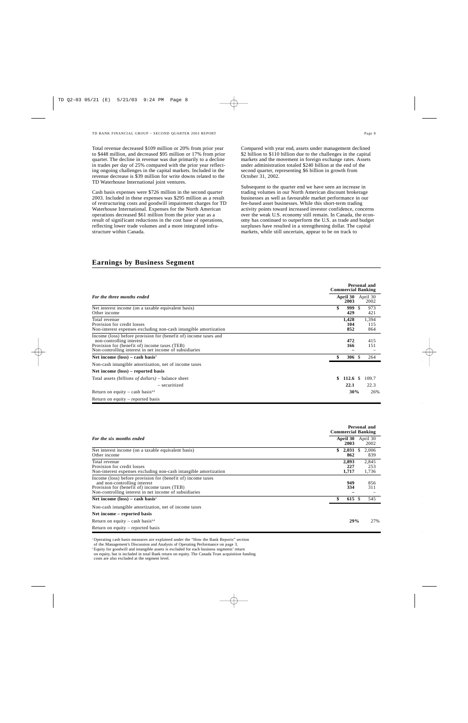Total revenue decreased \$109 million or 20% from prior year to \$448 million, and decreased \$95 million or 17% from prior quarter. The decline in revenue was due primarily to a decline in trades per day of 25% compared with the prior year reflecting ongoing challenges in the capital markets. Included in the revenue decrease is \$39 million for write downs related to the TD Waterhouse International joint ventures.

Cash basis expenses were \$726 million in the second quarter 2003. Included in these expenses was \$295 million as a result of restructuring costs and goodwill impairment charges for TD Waterhouse International. Expenses for the North American operations decreased \$61 million from the prior year as a result of significant reductions in the cost base of operations, reflecting lower trade volumes and a more integrated infrastructure within Canada.

Compared with year end, assets under management declined \$2 billion to \$110 billion due to the challenges in the capital markets and the movement in foreign exchange rates. Assets under administration totaled \$240 billion at the end of the second quarter, representing \$6 billion in growth from October 31, 2002.

Subsequent to the quarter end we have seen an increase in trading volumes in our North American discount brokerage businesses as well as favourable market performance in our fee-based asset businesses. While this short-term trading activity points toward increased investor confidence, concerns over the weak U.S. economy still remain. In Canada, the economy has continued to outperform the U.S. as trade and budget surpluses have resulted in a strengthening dollar. The capital markets, while still uncertain, appear to be on track to

# **Earnings by Business Segment**

|                                                                                                                                                                                                         | Personal and<br><b>Commercial Banking</b>  |
|---------------------------------------------------------------------------------------------------------------------------------------------------------------------------------------------------------|--------------------------------------------|
| For the three months ended                                                                                                                                                                              | April 30<br>April 30<br>2003<br>2002       |
| Net interest income (on a taxable equivalent basis)<br>Other income                                                                                                                                     | \$<br>999<br>- \$<br>973<br>429<br>421     |
| Total revenue<br>Provision for credit losses<br>Non-interest expenses excluding non-cash intangible amortization                                                                                        | 1,394<br>1,428<br>104<br>115<br>852<br>864 |
| Income (loss) before provision for (benefit of) income taxes and<br>non-controlling interest<br>Provision for (benefit of) income taxes (TEB)<br>Non-controlling interest in net income of subsidiaries | 472<br>415<br>166<br>151                   |
| Net income $(\text{loss})$ – cash basis <sup>1</sup>                                                                                                                                                    | \$<br>306S<br>264                          |
| Non-cash intangible amortization, net of income taxes                                                                                                                                                   |                                            |
| Net income (loss) – reported basis                                                                                                                                                                      |                                            |
| Total assets <i>(billions of dollars)</i> – balance sheet                                                                                                                                               | 112.6 $\sqrt{ }$<br>109.7<br>\$            |
| - securitized                                                                                                                                                                                           | 22.1<br>22.3                               |
| Return on equity – cash basis <sup>1,2</sup>                                                                                                                                                            | 30%<br>26%                                 |
| Return on equity $-$ reported basis                                                                                                                                                                     |                                            |

|                                                                                                                                                                                                         | Personal and<br><b>Commercial Banking</b>          |
|---------------------------------------------------------------------------------------------------------------------------------------------------------------------------------------------------------|----------------------------------------------------|
| For the six months ended                                                                                                                                                                                | April 30<br>April 30<br>2003<br>2002               |
| Net interest income (on a taxable equivalent basis)<br>Other income                                                                                                                                     | 2.006<br>\$<br>2,031<br><sup>S</sup><br>862<br>839 |
| Total revenue<br>Provision for credit losses<br>Non-interest expenses excluding non-cash intangible amortization                                                                                        | 2,845<br>2,893<br>227<br>253<br>1,717<br>1,736     |
| Income (loss) before provision for (benefit of) income taxes<br>and non-controlling interest<br>Provision for (benefit of) income taxes (TEB)<br>Non-controlling interest in net income of subsidiaries | 949<br>856<br>334<br>311                           |
| Net income $(\text{loss})$ – cash basis <sup>1</sup>                                                                                                                                                    | 615 \$<br>545                                      |
| Non-cash intangible amortization, net of income taxes                                                                                                                                                   |                                                    |
| Net income – reported basis                                                                                                                                                                             |                                                    |
| Return on equity – cash basis <sup>1,2</sup>                                                                                                                                                            | 29%<br>27%                                         |
| Return on equity – reported basis                                                                                                                                                                       |                                                    |

<sup>1</sup> Operating cash basis measures are explained under the "How the Bank Reports" section

of the Management's Discussion and Analysis of Operating Performance on page 3.

2 Equity for goodwill and intangible assets is excluded for each business segments' return

on equity, but is included in total Bank return on equity. The Canada Trust acquisition funding

costs are also excluded at the segment level.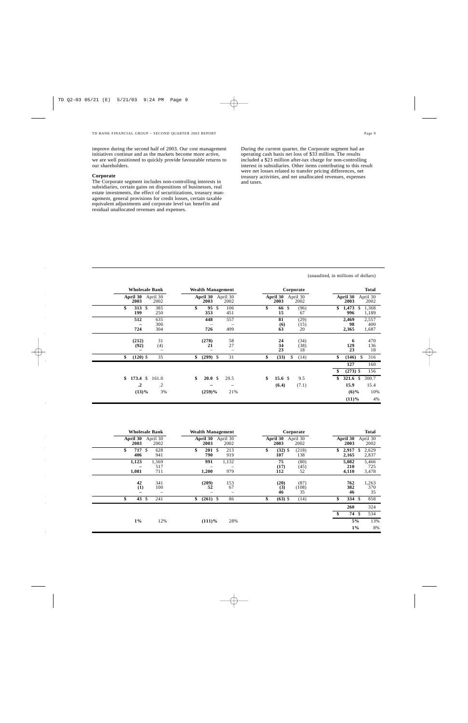improve during the second half of 2003. Our cost management initiatives continue and as the markets become more active, we are well positioned to quickly provide favourable returns to our shareholders.

### **Corporate**

The Corporate segment includes non-controlling interests in subsidiaries, certain gains on dispositions of businesses, real estate investments, the effect of securitizations, treasury management, general provisions for credit losses, certain taxable equivalent adjustments and corporate level tax benefits and residual unallocated revenues and expenses.

During the current quarter, the Corporate segment had an operating cash basis net loss of \$33 million. The results included a \$23 million after-tax charge for non-controlling interest in subsidiaries. Other items contributing to this result were net losses related to transfer pricing differences, net treasury activities, and net unallocated revenues, expenses and taxes.

(unaudited, in millions of dollars)

|                                                               | <b>Wholesale Bank</b><br><b>Wealth Management</b> |                        |                                         |                                | Corporate          | <b>Total</b>                                                                        |
|---------------------------------------------------------------|---------------------------------------------------|------------------------|-----------------------------------------|--------------------------------|--------------------|-------------------------------------------------------------------------------------|
| April 30<br>2003                                              | April 30<br>2002                                  | April 30<br>2003       | April 30<br>2002                        | April 30<br>2003               | April 30<br>2002   | April 30<br>April 30<br>2003<br>2002                                                |
| \$<br>313S<br>199                                             | 385<br>250                                        | \$<br>95<br>353        | \$<br>106<br>451                        | \$<br>66 \$<br>15              | (96)<br>67         | \$<br>1,473<br>1,368<br>\$<br>996<br>1,189                                          |
| 512<br>724                                                    | 635<br>300<br>304                                 | 448<br>726             | 557<br>499                              | 81<br>(6)<br>63                | (29)<br>(15)<br>20 | 2,469<br>2,557<br>98<br>400<br>2,365<br>1,687                                       |
| (212)<br>(92)<br>-                                            | 31<br>(4)<br>$\overline{\phantom{0}}$             | (278)<br>21            | 58<br>27<br>$\qquad \qquad$             | 24<br>34<br>23                 | (34)<br>(38)<br>18 | 470<br>6<br>129<br>136<br>23<br>18                                                  |
| \$<br>$(120)$ \$                                              | 35                                                | \$<br>$(299)$ \$       | 31                                      | \$<br>(33)                     | (14)<br>\$         | \$<br>$(146)$ \$<br>316<br>127<br>160<br>\$<br>$(273)$ \$<br>156                    |
| $173.4 \text{ }$ \$<br>\$<br>$\cdot$ <sup>2</sup><br>$(13)\%$ | 161.0<br>$\cdot$<br>3%                            | 20.0 S<br>\$<br>(259)% | 20.5<br>$\overline{\phantom{0}}$<br>21% | \$<br>15.6 $\sqrt{3}$<br>(6.4) | 9.5<br>(7.1)       | \$<br>321.6 $\sqrt{ }$<br>300.7<br>15.9<br>15.4<br>10%<br>$(6)\%$<br>4%<br>$(11)\%$ |

|                       | <b>Wholesale Bank</b> | <b>Wealth Management</b> |                                       |                           | Corporate           |                         | <b>Total</b>          |
|-----------------------|-----------------------|--------------------------|---------------------------------------|---------------------------|---------------------|-------------------------|-----------------------|
| April 30<br>2003      | April 30<br>2002      | 2003                     | April 30 April 30<br>2002             | April 30 April 30<br>2003 | 2002                | April 30<br>2003        | April 30<br>2002      |
| \$<br>717 \$<br>406   | 628<br>941            | \$<br>201S<br>790        | 213<br>919                            | \$<br>$(32)$ \$<br>107    | (218)<br>138        | \$<br>2,917<br>2,165    | 2,629<br>S<br>2,837   |
| 1,123<br>1,081        | 1,569<br>517<br>711   | 991<br>1,200             | 1,132<br>979                          | 75<br>(17)<br>112         | (80)<br>(45)<br>52  | 5,082<br>210<br>4,110   | 5,466<br>725<br>3,478 |
| 42<br>(1)<br>-        | 341<br>100<br>-       | (209)<br>52              | 153<br>67<br>$\overline{\phantom{0}}$ | (20)<br>(3)<br>46         | (87)<br>(108)<br>35 | 762<br>382<br>46        | 1,263<br>370<br>35    |
| \$<br>$43 \text{ } $$ | 241                   | \$<br>$(261)$ \$         | 86                                    | \$<br>$(63)$ \$           | (14)                | \$<br>$334 \text{ } $s$ | 858                   |
|                       |                       |                          |                                       |                           |                     | \$<br>260<br>74 \$      | 324<br>534            |
| $1\%$                 | 12%                   | $(111)\%$                | 28%                                   |                           |                     | 5%<br>$1\%$             | 13%<br>8%             |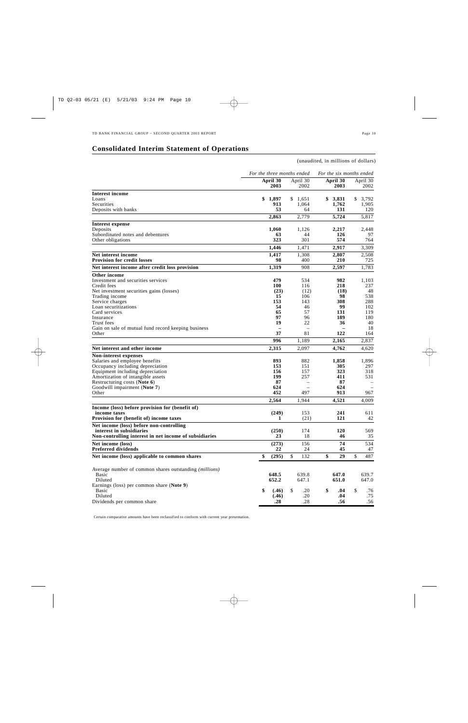# **Consolidated Interim Statement of Operations**

## (unaudited, in millions of dollars)

|                                                                   | For the three months ended | For the six months ended |                  |                  |  |  |
|-------------------------------------------------------------------|----------------------------|--------------------------|------------------|------------------|--|--|
|                                                                   | April 30<br>2003           | April 30<br>2002         | April 30<br>2003 | April 30<br>2002 |  |  |
| <b>Interest income</b>                                            |                            |                          |                  |                  |  |  |
| Loans                                                             | \$<br>1,897                | \$<br>1,651              | 3,831<br>\$      | 3,792<br>\$      |  |  |
| Securities                                                        | 913                        | 1,064                    | 1,762            | 1,905            |  |  |
| Deposits with banks                                               | 53                         | 64                       | 131              | 120              |  |  |
|                                                                   | 2,863                      | 2,779                    | 5,724            | 5,817            |  |  |
| Interest expense                                                  |                            |                          |                  |                  |  |  |
| Deposits                                                          | 1,060                      | 1,126                    | 2,217            | 2,448            |  |  |
| Subordinated notes and debentures<br>Other obligations            | 63<br>323                  | 44<br>301                | 126<br>574       | 97<br>764        |  |  |
|                                                                   | 1,446                      | 1.471                    | 2,917            | 3,309            |  |  |
|                                                                   |                            |                          |                  |                  |  |  |
| Net interest income<br><b>Provision for credit losses</b>         | 1,417<br>98                | 1,308<br>400             | 2,807<br>210     | 2,508<br>725     |  |  |
| Net interest income after credit loss provision                   | 1,319                      | 908                      | 2,597            | 1,783            |  |  |
| Other income                                                      |                            |                          |                  |                  |  |  |
| Investment and securities services                                | 479                        | 534                      | 982              | 1,103            |  |  |
| Credit fees                                                       | 100                        | 116                      | 218              | 237              |  |  |
| Net investment securities gains (losses)                          | (23)                       | (12)                     | (18)             | 48               |  |  |
| Trading income                                                    | 15                         | 106                      | 98               | 538              |  |  |
| Service charges                                                   | 153                        | 143                      | 308              | 288              |  |  |
| Loan securitizations                                              | 54                         | 46                       | 99               | 102              |  |  |
| Card services                                                     | 65                         | 57                       | 131              | 119              |  |  |
| Insurance                                                         | 97                         | 96                       | 189              | 180              |  |  |
| Trust fees                                                        | 19                         | 22                       | 36               | 40               |  |  |
| Gain on sale of mutual fund record keeping business<br>Other      | 37                         | 81                       | 122              | 18<br>164        |  |  |
|                                                                   |                            |                          |                  |                  |  |  |
|                                                                   | 996                        | 1,189                    | 2,165            | 2,837            |  |  |
| Net interest and other income                                     | 2,315                      | 2,097                    | 4,762            | 4,620            |  |  |
| Non-interest expenses                                             |                            |                          |                  |                  |  |  |
| Salaries and employee benefits                                    | 893                        | 882                      | 1,858            | 1,896            |  |  |
| Occupancy including depreciation                                  | 153<br>156                 | 151                      | 305<br>323       | 297              |  |  |
| Equipment including depreciation                                  | 199                        | 157<br>257               | 411              | 318<br>531       |  |  |
| Amortization of intangible assets<br>Restructuring costs (Note 6) | 87                         |                          | 87               |                  |  |  |
| Goodwill impairment (Note 7)                                      | 624                        |                          | 624              |                  |  |  |
| Other                                                             | 452                        | 497                      | 913              | 967              |  |  |
|                                                                   | 2,564                      | 1,944                    | 4,521            | 4,009            |  |  |
| Income (loss) before provision for (benefit of)                   |                            |                          |                  |                  |  |  |
| income taxes                                                      | (249)                      | 153                      | 241              | 611              |  |  |
| Provision for (benefit of) income taxes                           | 1                          | (21)                     | 121              | 42               |  |  |
| Net income (loss) before non-controlling                          |                            |                          |                  |                  |  |  |
| interest in subsidiaries                                          | (250)                      | 174                      | 120              | 569              |  |  |
| Non-controlling interest in net income of subsidiaries            | 23                         | 18                       | 46               | 35               |  |  |
| Net income (loss)<br><b>Preferred dividends</b>                   | (273)<br>22                | 156                      | 74               | 534              |  |  |
|                                                                   |                            | 24                       | 45               | 47               |  |  |
| Net income (loss) applicable to common shares                     | \$<br>(295)                | \$<br>132                | \$<br>29         | \$<br>487        |  |  |
| Average number of common shares outstanding (millions)            |                            |                          |                  |                  |  |  |
| Basic                                                             | 648.5                      | 639.8                    | 647.0            | 639.7            |  |  |
| Diluted                                                           | 652.2                      | 647.1                    | 651.0            | 647.0            |  |  |
| Earnings (loss) per common share (Note 9)                         |                            |                          |                  |                  |  |  |
| Basic                                                             | \$<br>(.46)                | \$<br>.20                | \$<br>.04        | \$<br>.76        |  |  |
| Diluted                                                           | (.46)                      | .20                      | .04              | .75              |  |  |
| Dividends per common share                                        | .28                        | .28                      | .56              | .56              |  |  |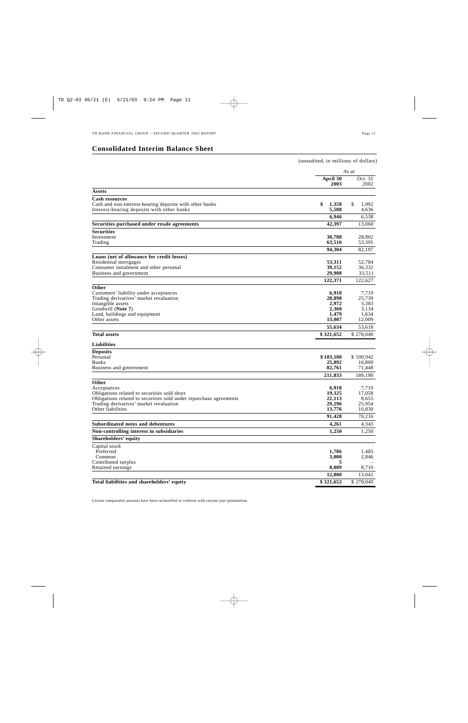# **Consolidated Interim Balance Sheet**

|                                                                                                                    | (unaudited, in millions of dollars) |                  |
|--------------------------------------------------------------------------------------------------------------------|-------------------------------------|------------------|
|                                                                                                                    |                                     | As at            |
|                                                                                                                    | April 30<br>2003                    | Oct. 31<br>2002  |
| Assets                                                                                                             |                                     |                  |
| <b>Cash resources</b>                                                                                              |                                     |                  |
| Cash and non-interest-bearing deposits with other banks                                                            | \$<br>1,358                         | \$<br>1,902      |
| Interest-bearing deposits with other banks                                                                         | 5,588                               | 4,636            |
|                                                                                                                    | 6,946                               | 6,538            |
| Securities purchased under resale agreements                                                                       | 42,397                              | 13,060           |
| <b>Securities</b>                                                                                                  |                                     |                  |
| Investment<br>Trading                                                                                              | 30,788<br>63,516                    | 28,802<br>53,395 |
|                                                                                                                    |                                     |                  |
|                                                                                                                    | 94,304                              | 82,197           |
| Loans (net of allowance for credit losses)<br>Residential mortgages                                                | 53,311                              | 52,784           |
| Consumer instalment and other personal                                                                             | 39,152                              | 36,332           |
| Business and government                                                                                            | 29,908                              | 33,511           |
|                                                                                                                    | 122,371                             | 122,627          |
| Other                                                                                                              |                                     |                  |
| Customers' liability under acceptances                                                                             | 6,918                               | 7,719            |
| Trading derivatives' market revaluation                                                                            | 28,898                              | 25,739           |
| Intangible assets<br>Goodwill (Note 7)                                                                             | 2,972<br>2,360                      | 3,383<br>3.134   |
| Land, buildings and equipment                                                                                      | 1,479                               | 1,634            |
| Other assets                                                                                                       | 13,007                              | 12,009           |
|                                                                                                                    | 55,634                              | 53,618           |
| <b>Total assets</b>                                                                                                | \$321,652                           | \$278,040        |
| <b>Liabilities</b>                                                                                                 |                                     |                  |
| <b>Deposits</b>                                                                                                    |                                     |                  |
| Personal                                                                                                           | \$103,180                           | \$100,942        |
| Banks                                                                                                              | 25,892                              | 16,800           |
| Business and government                                                                                            | 82,761                              | 71,448           |
|                                                                                                                    | 211,833                             | 189,190          |
| Other                                                                                                              |                                     |                  |
| Acceptances                                                                                                        | 6,918                               | 7,719            |
| Obligations related to securities sold short<br>Obligations related to securities sold under repurchase agreements | 19,325<br>22,113                    | 17,058<br>8,655  |
| Trading derivatives' market revaluation                                                                            | 29,296                              | 25,954           |
| Other liabilities                                                                                                  | 13,776                              | 10,830           |
|                                                                                                                    | 91,428                              | 70,216           |
| Subordinated notes and debentures                                                                                  | 4,261                               | 4,343            |
| Non-controlling interest in subsidiaries                                                                           | 1,250                               | 1,250            |
| <b>Shareholders' equity</b>                                                                                        |                                     |                  |
| Capital stock                                                                                                      |                                     |                  |
| Preferred                                                                                                          | 1,786                               | 1,485            |
| Common                                                                                                             | 3,000                               | 2,846            |
| Contributed surplus<br>Retained earnings                                                                           | 5<br>8,089                          | 8,710            |
|                                                                                                                    | 12,880                              | 13,041           |
| Total liabilities and shareholders' equity                                                                         | \$321,652                           | \$278,040        |
|                                                                                                                    |                                     |                  |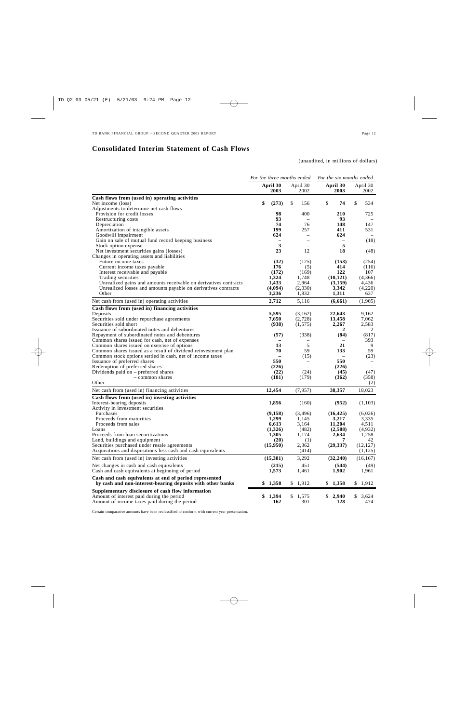# **Consolidated Interim Statement of Cash Flows**

(unaudited, in millions of dollars)

|                                                                                              | For the three months ended |                                 | For the six months ended |                  |  |  |
|----------------------------------------------------------------------------------------------|----------------------------|---------------------------------|--------------------------|------------------|--|--|
|                                                                                              | April 30<br>2003           | April 30<br>2002                | April 30<br>2003         | April 30<br>2002 |  |  |
| Cash flows from (used in) operating activities                                               |                            |                                 |                          |                  |  |  |
| Net income (loss)                                                                            | \$<br>(273)                | \$<br>156                       | \$<br>74                 | \$<br>534        |  |  |
| Adjustments to determine net cash flows                                                      |                            |                                 |                          |                  |  |  |
| Provision for credit losses                                                                  | 98                         | 400                             | 210                      | 725              |  |  |
| Restructuring costs                                                                          | 93                         |                                 | 93                       |                  |  |  |
| Depreciation                                                                                 | 74                         | 76                              | 148                      | 147              |  |  |
| Amortization of intangible assets                                                            | 199<br>624                 | 257<br>$\overline{\phantom{0}}$ | 411<br>624               | 531              |  |  |
| Goodwill impairment<br>Gain on sale of mutual fund record keeping business                   | $\overline{\phantom{0}}$   | $\overline{\phantom{0}}$        | $\overline{\phantom{0}}$ | (18)             |  |  |
| Stock option expense                                                                         | 3                          |                                 | 5                        |                  |  |  |
| Net investment securities gains (losses)                                                     | 23                         | 12                              | 18                       | (48)             |  |  |
| Changes in operating assets and liabilities                                                  |                            |                                 |                          |                  |  |  |
| Future income taxes                                                                          | (32)                       | (125)                           | (153)                    | (254)            |  |  |
| Current income taxes payable                                                                 | 176                        | (5)                             | 414                      | (116)            |  |  |
| Interest receivable and payable                                                              | (172)                      | (169)                           | 122                      | 107              |  |  |
| Trading securities                                                                           | 1,324                      | 1,748                           | (10, 121)                | (4,366)          |  |  |
| Unrealized gains and amounts receivable on derivatives contracts                             | 1,433                      | 2,964                           | (3,159)                  | 4,436            |  |  |
| Unrealized losses and amounts payable on derivatives contracts                               | (4,094)                    | (2,030)                         | 3,342                    | (4,220)          |  |  |
| Other                                                                                        | 3,236                      | 1,832                           | 1,311                    | 637              |  |  |
| Net cash from (used in) operating activities                                                 | 2,712                      | 5,116                           | (6,661)                  | (1,905)          |  |  |
| Cash flows from (used in) financing activities                                               |                            |                                 |                          |                  |  |  |
| Deposits                                                                                     | 5,595                      | (3,162)                         | 22,643                   | 9,162            |  |  |
| Securities sold under repurchase agreements                                                  | 7,650                      | (2,728)                         | 13,458                   | 7,062            |  |  |
| Securities sold short                                                                        | (938)                      | (1,575)                         | 2,267                    | 2,583            |  |  |
| Issuance of subordinated notes and debentures                                                |                            |                                 | 2                        | 2                |  |  |
| Repayment of subordinated notes and debentures                                               | (57)                       | (338)                           | (84)                     | (817)            |  |  |
| Common shares issued for cash, net of expenses                                               | $\overline{\phantom{0}}$   |                                 |                          | 393              |  |  |
| Common shares issued on exercise of options                                                  | 13                         | 5                               | 21                       | 9                |  |  |
| Common shares issued as a result of dividend reinvestment plan                               | 70                         | 59                              | 133                      | 59               |  |  |
| Common stock options settled in cash, net of income taxes<br>Issuance of preferred shares    | 550                        | (15)                            | 550                      | (23)             |  |  |
| Redemption of preferred shares                                                               | (226)                      | $\overline{\phantom{a}}$        | (226)                    |                  |  |  |
| Dividends paid on $-$ preferred shares                                                       | (22)                       | (24)                            | (45)                     | (47)             |  |  |
| $-$ common shares                                                                            | (181)                      | (179)                           | (362)                    | (358)            |  |  |
| Other                                                                                        |                            |                                 |                          | (2)              |  |  |
| Net cash from (used in) financing activities                                                 | 12,454                     | (7, 957)                        | 38,357                   | 18,023           |  |  |
| Cash flows from (used in) investing activities                                               |                            |                                 |                          |                  |  |  |
| Interest-bearing deposits                                                                    | 1,856                      | (160)                           | (952)                    | (1,103)          |  |  |
| Activity in investment securities                                                            |                            |                                 |                          |                  |  |  |
| Purchases                                                                                    | (9, 158)                   | (3, 496)                        | (16, 425)                | (6,026)          |  |  |
| Proceeds from maturities                                                                     | 1,299                      | 1,145                           | 3,217                    | 3,335            |  |  |
| Proceeds from sales                                                                          | 6,613                      | 3,164                           | 11,204                   | 4,511            |  |  |
| Loans                                                                                        | (1,326)                    | (482)                           | (2,588)                  | (4,932)          |  |  |
| Proceeds from loan securitizations                                                           | 1,305                      | 1,174                           | 2,634                    | 1,258            |  |  |
| Land, buildings and equipment                                                                | (20)                       | (1)                             |                          | 42               |  |  |
| Securities purchased under resale agreements                                                 | (15,950)                   | 2,362                           | (29, 337)                | (12, 127)        |  |  |
| Acquisitions and dispositions less cash and cash equivalents                                 |                            | (414)                           |                          | (1, 125)         |  |  |
| Net cash from (used in) investing activities                                                 | (15, 381)                  | 3,292                           | (32, 240)                | (16, 167)        |  |  |
| Net changes in cash and cash equivalents<br>Cash and cash equivalents at beginning of period | (215)<br>1,573             | 451<br>1,461                    | (544)<br>1,902           | (49)<br>1,961    |  |  |
| Cash and cash equivalents at end of period represented                                       |                            |                                 |                          |                  |  |  |
| by cash and non-interest-bearing deposits with other banks                                   | \$<br>1,358                | \$1,912                         | \$<br>1,358              | \$<br>1,912      |  |  |
| Supplementary disclosure of cash flow information                                            |                            |                                 |                          |                  |  |  |
| Amount of interest paid during the period                                                    | \$1,394                    | \$1,575                         | \$2,940                  | \$<br>3,624      |  |  |
| Amount of income taxes paid during the period                                                | 162                        | 301                             | 128                      | 474              |  |  |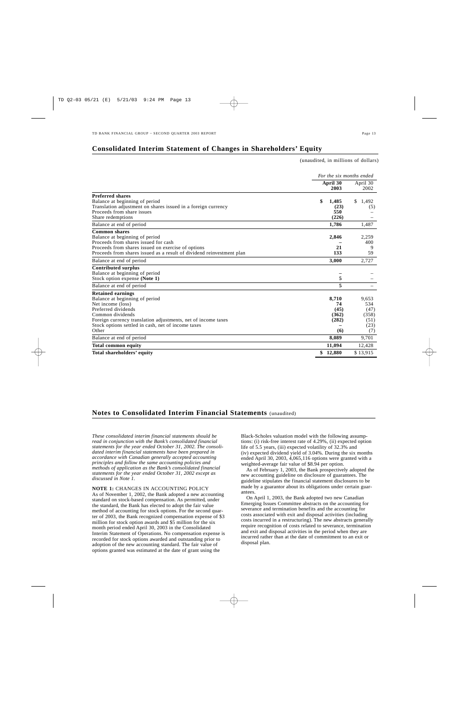## **Consolidated Interim Statement of Changes in Shareholders' Equity**

(unaudited, in millions of dollars)

|                                                                                                                                                                                                                                                            | For the six months ended                     |                                                      |  |  |
|------------------------------------------------------------------------------------------------------------------------------------------------------------------------------------------------------------------------------------------------------------|----------------------------------------------|------------------------------------------------------|--|--|
|                                                                                                                                                                                                                                                            | April 30<br>2003                             | April 30<br>2002                                     |  |  |
| <b>Preferred shares</b><br>Balance at beginning of period<br>Translation adjustment on shares issued in a foreign currency<br>Proceeds from share issues<br>Share redemptions                                                                              | \$<br>1,485<br>(23)<br>550<br>(226)          | \$<br>1,492<br>(5)                                   |  |  |
| Balance at end of period                                                                                                                                                                                                                                   | 1,786                                        | 1,487                                                |  |  |
| <b>Common shares</b><br>Balance at beginning of period<br>Proceeds from shares issued for cash<br>Proceeds from shares issued on exercise of options<br>Proceeds from shares issued as a result of dividend reinvestment plan                              | 2,846<br>21<br>133                           | 2,259<br>400<br>9<br>59                              |  |  |
| Balance at end of period                                                                                                                                                                                                                                   | 3,000                                        | 2,727                                                |  |  |
| <b>Contributed surplus</b><br>Balance at beginning of period<br>Stock option expense (Note 1)                                                                                                                                                              | 5                                            |                                                      |  |  |
| Balance at end of period                                                                                                                                                                                                                                   | 5                                            |                                                      |  |  |
| <b>Retained earnings</b><br>Balance at beginning of period<br>Net income (loss)<br>Preferred dividends<br>Common dividends<br>Foreign currency translation adjustments, net of income taxes<br>Stock options settled in cash, net of income taxes<br>Other | 8.710<br>74<br>(45)<br>(362)<br>(282)<br>(6) | 9,653<br>534<br>(47)<br>(358)<br>(51)<br>(23)<br>(7) |  |  |
| Balance at end of period                                                                                                                                                                                                                                   | 8,089                                        | 9,701                                                |  |  |
| <b>Total common equity</b>                                                                                                                                                                                                                                 | 11,094                                       | 12,428                                               |  |  |
| Total shareholders' equity                                                                                                                                                                                                                                 | 12,880<br>\$                                 | \$13,915                                             |  |  |

## **Notes to Consolidated Interim Financial Statements** (unaudited)

*These consolidated interim financial statements should be read in conjunction with the Bank's consolidated financial statements for the year ended October 31, 2002. The consolidated interim financial statements have been prepared in accordance with Canadian generally accepted accounting principles and follow the same accounting policies and methods of application as the Bank's consolidated financial statements for the year ended October 31, 2002 except as discussed in Note 1.* 

**NOTE 1:** CHANGES IN ACCOUNTING POLICY As of November 1, 2002, the Bank adopted a new accounting standard on stock-based compensation. As permitted, under the standard, the Bank has elected to adopt the fair value method of accounting for stock options. For the second quarter of 2003, the Bank recognized compensation expense of \$3 million for stock option awards and \$5 million for the six month period ended April 30, 2003 in the Consolidated Interim Statement of Operations. No compensation expense is recorded for stock options awarded and outstanding prior to adoption of the new accounting standard. The fair value of options granted was estimated at the date of grant using the

Black-Scholes valuation model with the following assumptions: (i) risk-free interest rate of 4.29%, (ii) expected option life of 5.5 years, (iii) expected volatility of 32.3% and (iv) expected dividend yield of 3.04%. During the six months ended April 30, 2003, 4,065,116 options were granted with a weighted-average fair value of \$8.94 per option.

As of February 1, 2003, the Bank prospectively adopted the new accounting guideline on disclosure of guarantees. The guideline stipulates the financial statement disclosures to be made by a guarantor about its obligations under certain guarantees.

On April 1, 2003, the Bank adopted two new Canadian Emerging Issues Committee abstracts on the accounting for severance and termination benefits and the accounting for costs associated with exit and disposal activities (including costs incurred in a restructuring). The new abstracts generally require recognition of costs related to severance, termination and exit and disposal activities in the period when they are incurred rather than at the date of commitment to an exit or disposal plan.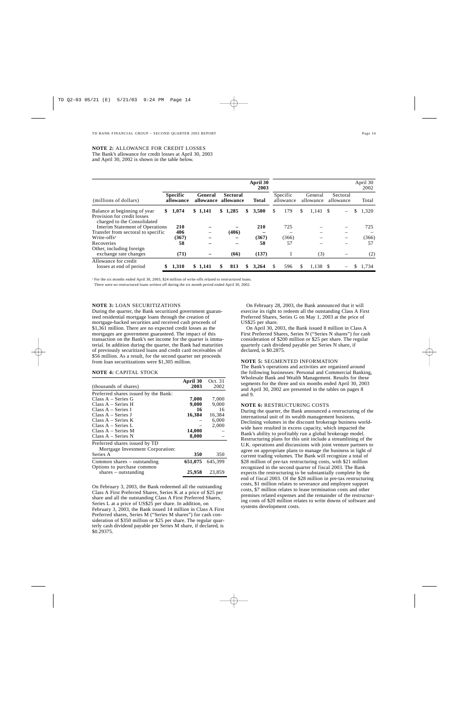### **NOTE 2:** ALLOWANCE FOR CREDIT LOSSES The Bank's allowance for credit losses at April 30, 2003 and April 30, 2002 is shown in the table below.

|                                                                                            |                              |                      |   |                              | April 30<br>2003 |    |                       |    |                      |                       |    | April 30<br>2002 |
|--------------------------------------------------------------------------------------------|------------------------------|----------------------|---|------------------------------|------------------|----|-----------------------|----|----------------------|-----------------------|----|------------------|
| (millions of dollars)                                                                      | <b>Specific</b><br>allowance | General<br>allowance |   | <b>Sectoral</b><br>allowance | Total            |    | Specific<br>allowance |    | General<br>allowance | Sectoral<br>allowance |    | Total            |
| Balance at beginning of year<br>Provision for credit losses<br>charged to the Consolidated | \$<br>1,074                  | \$1,141              |   | \$1,285                      | \$<br>3,500      | \$ | 179                   | \$ | $1,141 \quad$ \$     |                       | \$ | 1,320            |
| Interim Statement of Operations<br>Transfer from sectoral to specific                      | 210<br>406                   |                      |   | (406)                        | 210              |    | 725                   |    |                      |                       |    | 725              |
| $Write-offs1$<br>Recoveries                                                                | (367)<br>58                  |                      |   |                              | (367)<br>58      |    | (366)<br>57           |    |                      |                       |    | (366)<br>57      |
| Other, including foreign<br>exchange rate changes                                          | (71)                         |                      |   | (66)                         | (137)            |    | 1                     |    | (3)                  |                       |    | (2)              |
| Allowance for credit<br>losses at end of period                                            | \$<br>1,310                  | \$1.141              | S | 813                          | 3.264            | S  | 596                   | S  | $1.138$ \$           |                       | S. | 1.734            |

<sup>1</sup> For the six months ended April 30, 2003, \$24 million of write-offs related to restructured loans.

There were no restructured loans written off during the six month period ended April 30, 2002.

### **NOTE 3:** LOAN SECURITIZATIONS

During the quarter, the Bank securitized government guaranteed residential mortgage loans through the creation of mortgage-backed securities and received cash proceeds of \$1,361 million. There are no expected credit losses as the mortgages are government guaranteed. The impact of this transaction on the Bank's net income for the quarter is immaterial. In addition during the quarter, the Bank had maturities of previously securitized loans and credit card receivables of \$56 million. As a result, for the second quarter net proceeds from loan securitizations were \$1,305 million.

### **NOTE 4:** CAPITAL STOCK

|                                      | April 30 | Oct. 31 |
|--------------------------------------|----------|---------|
| (thousands of shares)                | 2003     | 2002    |
| Preferred shares issued by the Bank: |          |         |
| Class A – Series G                   | 7,000    | 7,000   |
| Class A – Series H                   | 9,000    | 9,000   |
| Class A – Series I                   | 16       | 16      |
| Class A – Series J                   | 16,384   | 16.384  |
| Class $A - Series K$                 |          | 6,000   |
| Class $A - Series L$                 |          | 2.000   |
| Class $A - Series M$                 | 14,000   |         |
| $Class A - Series N$                 | 8,000    |         |
| Preferred shares issued by TD        |          |         |
| Mortgage Investment Corporation:     |          |         |
| Series A                             | 350      | 350     |
| Common shares – outstanding          | 651,075  | 645.399 |
| Options to purchase common           |          |         |
| shares $-$ outstanding               | 25,958   | 23,859  |

On February 3, 2003, the Bank redeemed all the outstanding Class A First Preferred Shares, Series K at a price of \$25 per share and all the outstanding Class A First Preferred Shares, Series L at a price of US\$25 per share. In addition, on February 3, 2003, the Bank issued 14 million in Class A First Preferred shares, Series M ("Series M shares") for cash consideration of \$350 million or \$25 per share. The regular quarterly cash dividend payable per Series M share, if declared, is \$0.29375.

On February 28, 2003, the Bank announced that it will exercise its right to redeem all the outstanding Class A First Preferred Shares, Series G on May 1, 2003 at the price of US\$25 per share.

On April 30, 2003, the Bank issued 8 million in Class A First Preferred Shares, Series N ("Series N shares") for cash consideration of \$200 million or \$25 per share. The regular quarterly cash dividend payable per Series N share, if declared, is \$0.2875.

### **NOTE 5:** SEGMENTED INFORMATION

The Bank's operations and activities are organized around the following businesses: Personal and Commercial Banking, Wholesale Bank and Wealth Management. Results for these segments for the three and six months ended April 30, 2003 and April 30, 2002 are presented in the tables on pages 8 and 9.

### **NOTE 6:** RESTRUCTURING COSTS

During the quarter, the Bank announced a restructuring of the international unit of its wealth management business. Declining volumes in the discount brokerage business worldwide have resulted in excess capacity, which impacted the Bank's ability to profitably run a global brokerage model. Restructuring plans for this unit include a streamlining of the U.K. operations and discussions with joint venture partners to agree on appropriate plans to manage the business in light of current trading volumes. The Bank will recognize a total of \$28 million of pre-tax restructuring costs, with \$21 million recognized in the second quarter of fiscal 2003. The Bank expects the restructuring to be substantially complete by the end of fiscal 2003. Of the \$28 million in pre-tax restructuring costs, \$1 million relates to severance and employee support costs, \$7 million relates to lease termination costs and other premises related expenses and the remainder of the restructuring costs of \$20 million relates to write downs of software and systems development costs.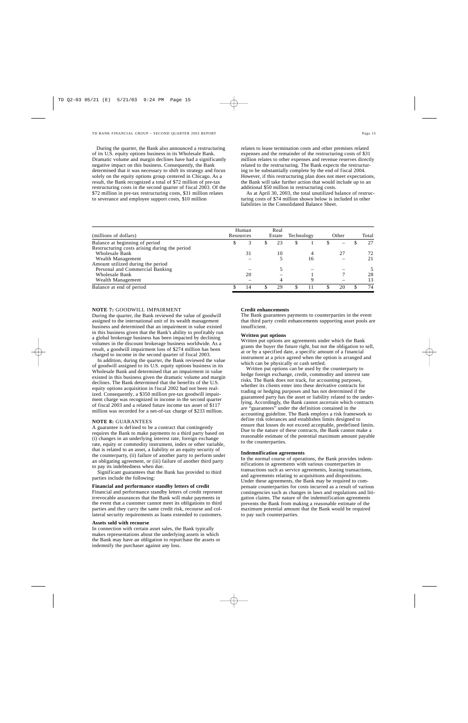During the quarter, the Bank also announced a restructuring of its U.S. equity options business in its Wholesale Bank. Dramatic volume and margin declines have had a significantly negative impact on this business. Consequently, the Bank determined that it was necessary to shift its strategy and focus solely on the equity options group centered in Chicago. As a result, the Bank recognized a total of \$72 million of pre-tax restructuring costs in the second quarter of fiscal 2003. Of the \$72 million in pre-tax restructuring costs, \$31 million relates to severance and employee support costs, \$10 million

relates to lease termination costs and other premises related expenses and the remainder of the restructuring costs of \$31 million relates to other expenses and revenue reserves directly related to the restructuring. The Bank expects the restructuring to be substantially complete by the end of fiscal 2004. However, if this restructuring plan does not meet expectations, the Bank will take further action that would include up to an additional \$50 million in restructuring costs.

As at April 30, 2003, the total unutilized balance of restructuring costs of \$74 million shown below is included in other liabilities in the Consolidated Balance Sheet.

| (millions of dollars)                         | Resources | Human |     | Real<br>Estate | Technology |    | Other | Total |
|-----------------------------------------------|-----------|-------|-----|----------------|------------|----|-------|-------|
| Balance at beginning of period                |           |       | JЭ. | 23             | S          |    |       | 27    |
| Restructuring costs arising during the period |           |       |     |                |            |    |       |       |
| Wholesale Bank                                |           | 31    |     | 10             |            | 4  | 27    | 72    |
| Wealth Management                             |           |       |     |                |            | 16 |       | 21    |
| Amount utilized during the period             |           |       |     |                |            |    |       |       |
| Personal and Commercial Banking               |           |       |     |                |            |    |       |       |
| Wholesale Bank                                |           | 20    |     |                |            |    |       | 28    |
| Wealth Management                             |           |       |     |                |            | q  |       | 13    |
| Balance at end of period                      |           | 14    |     | 29             |            | 11 | 20    | 74    |

### **NOTE 7:** GOODWILL IMPAIRMENT

During the quarter, the Bank reviewed the value of goodwill assigned to the international unit of its wealth management business and determined that an impairment in value existed in this business given that the Bank's ability to profitably run a global brokerage business has been impacted by declining volumes in the discount brokerage business worldwide. As a result, a goodwill impairment loss of \$274 million has been charged to income in the second quarter of fiscal 2003.

In addition, during the quarter, the Bank reviewed the value of goodwill assigned to its U.S. equity options business in its Wholesale Bank and determined that an impairment in value existed in this business given the dramatic volume and margin declines. The Bank determined that the benefits of the U.S. equity options acquisition in fiscal 2002 had not been realized. Consequently, a \$350 million pre-tax goodwill impairment charge was recognized in income in the second quarter of fiscal 2003 and a related future income tax asset of \$117 million was recorded for a net-of-tax charge of \$233 million.

### **NOTE 8:** GUARANTEES

A guarantee is defined to be a contract that contingently requires the Bank to make payments to a third party based on (i) changes in an underlying interest rate, foreign exchange rate, equity or commodity instrument, index or other variable, that is related to an asset, a liability or an equity security of the counterparty, (ii) failure of another party to perform under an obligating agreement, or (iii) failure of another third party to pay its indebtedness when due.

Significant guarantees that the Bank has provided to third parties include the following:

### **Financial and performance standby letters of credit**

Financial and performance standby letters of credit represent irrevocable assurances that the Bank will make payments in the event that a customer cannot meet its obligations to third parties and they carry the same credit risk, recourse and collateral security requirements as loans extended to customers.

### **Assets sold with recourse**

In connection with certain asset sales, the Bank typically makes representations about the underlying assets in which the Bank may have an obligation to repurchase the assets or indemnify the purchaser against any loss.

### **Credit enhancements**

The Bank guarantees payments to counterparties in the event that third party credit enhancements supporting asset pools are insufficient.

### **Written put options**

Written put options are agreements under which the Bank grants the buyer the future right, but not the obligation to sell, at or by a specified date, a specific amount of a financial instrument at a price agreed when the option is arranged and which can be physically or cash settled.

Written put options can be used by the counterparty to hedge foreign exchange, credit, commodity and interest rate risks. The Bank does not track, for accounting purposes, whether its clients enter into these derivative contracts for trading or hedging purposes and has not determined if the guaranteed party has the asset or liability related to the underlying. Accordingly, the Bank cannot ascertain which contracts are "guarantees" under the definition contained in the accounting guideline. The Bank employs a risk framework to define risk tolerances and establishes limits designed to ensure that losses do not exceed acceptable, predefined limits. Due to the nature of these contracts, the Bank cannot make a reasonable estimate of the potential maximum amount payable to the counterparties.

### **Indemnification agreements**

In the normal course of operations, the Bank provides indemnifications in agreements with various counterparties in transactions such as service agreements, leasing transactions, and agreements relating to acquisitions and dispositions. Under these agreements, the Bank may be required to compensate counterparties for costs incurred as a result of various contingencies such as changes in laws and regulations and litigation claims. The nature of the indemnification agreements prevents the Bank from making a reasonable estimate of the maximum potential amount that the Bank would be required to pay such counterparties.